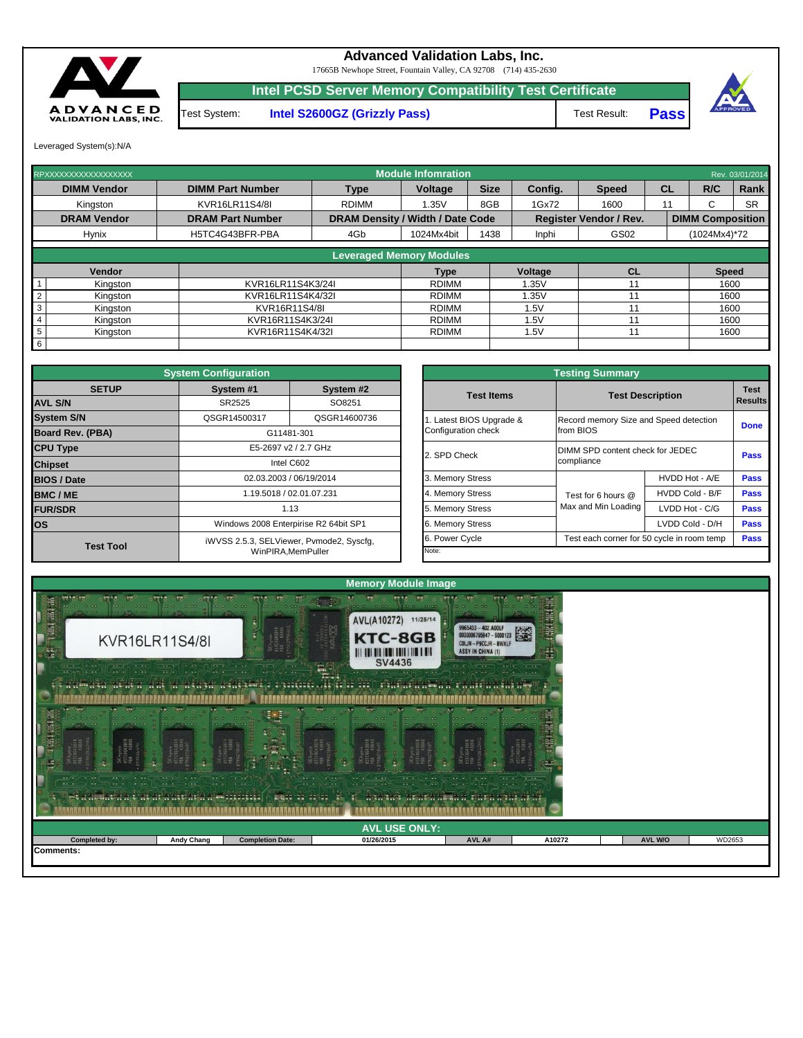| <b>AVL USE ONLY:</b><br><b>Completed by:</b><br><b>Andy Chang</b><br>AVL A#<br>AVL W/O<br><b>Completion Date:</b><br>WD2653<br>01/26/2015<br>A10272<br><b>IComments:</b> | <u> La partide de la Pacificación de la propia de la pacificación de la pacificación de la pacificación de la pa</u><br><u> 1968 - Johann Brand, primar a family and primar and primar and primar and primar and primar and primar and pri</u><br>in the state of the state of the state of the state of the state of the state of the state of the state of the<br><u>recording the set of the set of the set of the set of the set of the set of the set of the set of the set of the set of the set of the set of the set of the set of the set of the set of the set of the set of the set of th</u><br>met a at lata a t'ai al a ni ang aga agustil ("Luit ar agus"). Th' aga ana a nana at an a' ràng ag air ai |  |  |  |  |  |  |  |  |  |  |  |  |  |
|--------------------------------------------------------------------------------------------------------------------------------------------------------------------------|-----------------------------------------------------------------------------------------------------------------------------------------------------------------------------------------------------------------------------------------------------------------------------------------------------------------------------------------------------------------------------------------------------------------------------------------------------------------------------------------------------------------------------------------------------------------------------------------------------------------------------------------------------------------------------------------------------------------------|--|--|--|--|--|--|--|--|--|--|--|--|--|
|                                                                                                                                                                          |                                                                                                                                                                                                                                                                                                                                                                                                                                                                                                                                                                                                                                                                                                                       |  |  |  |  |  |  |  |  |  |  |  |  |  |
|                                                                                                                                                                          |                                                                                                                                                                                                                                                                                                                                                                                                                                                                                                                                                                                                                                                                                                                       |  |  |  |  |  |  |  |  |  |  |  |  |  |
|                                                                                                                                                                          |                                                                                                                                                                                                                                                                                                                                                                                                                                                                                                                                                                                                                                                                                                                       |  |  |  |  |  |  |  |  |  |  |  |  |  |



|                         | <b>System Configuration</b> |                                          |                          | <b>Testing Summary</b> |                                        |                                            |             |  |  |  |  |
|-------------------------|-----------------------------|------------------------------------------|--------------------------|------------------------|----------------------------------------|--------------------------------------------|-------------|--|--|--|--|
| <b>SETUP</b>            | System #1                   | System #2                                | <b>Test Items</b>        |                        | <b>Test Description</b>                |                                            |             |  |  |  |  |
| <b>AVL S/N</b>          | SR2525                      | SO8251                                   |                          |                        |                                        |                                            | Results     |  |  |  |  |
| <b>System S/N</b>       | QSGR14500317                | QSGR14600736                             | I. Latest BIOS Upgrade & |                        | Record memory Size and Speed detection | <b>Done</b>                                |             |  |  |  |  |
| <b>Board Rev. (PBA)</b> |                             | G11481-301                               | Configuration check      |                        | from BIOS                              |                                            |             |  |  |  |  |
| <b>CPU Type</b>         |                             | E5-2697 v2 / 2.7 GHz                     | 2. SPD Check             |                        | DIMM SPD content check for JEDEC       |                                            |             |  |  |  |  |
| <b>Chipset</b>          |                             | Intel C602                               |                          |                        | <b>Pass</b><br>compliance              |                                            |             |  |  |  |  |
| <b>BIOS / Date</b>      |                             | 02.03.2003 / 06/19/2014                  | 3. Memory Stress         |                        |                                        | HVDD Hot - A/E                             | <b>Pass</b> |  |  |  |  |
| <b>BMC/ME</b>           |                             | 1.19.5018 / 02.01.07.231                 | 4. Memory Stress         |                        | Test for 6 hours @                     | HVDD Cold - B/F                            | <b>Pass</b> |  |  |  |  |
| <b>FUR/SDR</b>          |                             | 1.13                                     | 5. Memory Stress         |                        | Max and Min Loading                    | LVDD Hot - C/G                             | <b>Pass</b> |  |  |  |  |
| <b>los</b>              |                             | Windows 2008 Enterpirise R2 64bit SP1    | 6. Memory Stress         |                        |                                        | LVDD Cold - D/H                            | <b>Pass</b> |  |  |  |  |
|                         |                             | iWVSS 2.5.3, SELViewer, Pvmode2, Syscfg, | 6. Power Cycle           |                        |                                        | Test each corner for 50 cycle in room temp | <b>Pass</b> |  |  |  |  |
| <b>Test Tool</b>        |                             | WinPIRA, MemPuller                       | Note:                    |                        |                                        |                                            |             |  |  |  |  |

| RPXXXXXXXXXXXXXXXXXX       |                         |                                         | <b>Module Infomration</b> |             |                |                               |    |                         | Rev. 03/01/2014 |
|----------------------------|-------------------------|-----------------------------------------|---------------------------|-------------|----------------|-------------------------------|----|-------------------------|-----------------|
| <b>DIMM Vendor</b>         | <b>DIMM Part Number</b> | <b>Type</b>                             | Voltage                   | <b>Size</b> | Config.        | <b>Speed</b>                  | CL | R/C                     | Rank            |
| Kingston                   | KVR16LR11S4/8I          | <b>RDIMM</b>                            | 1.35V                     | 8GB         | 1Gx72          | 1600                          |    | ⌒<br>ι,                 | <b>SR</b>       |
| <b>DRAM Vendor</b>         | <b>DRAM Part Number</b> | <b>DRAM Density / Width / Date Code</b> |                           |             |                | <b>Register Vendor / Rev.</b> |    | <b>DIMM Composition</b> |                 |
| <b>Hynix</b>               | H5TC4G43BFR-PBA         | 4Gb                                     | 1024Mx4bit                | 1438        | Inphi          | GS02                          |    | $(1024Mx4)*72$          |                 |
|                            |                         | <b>Leveraged Memory Modules</b>         |                           |             |                |                               |    |                         |                 |
| <b>Vendor</b>              |                         |                                         | <b>Type</b>               |             | <b>Voltage</b> | <b>CL</b>                     |    | <b>Speed</b>            |                 |
| Kingston                   | KVR16LR11S4K3/24I       |                                         | <b>RDIMM</b>              |             | .35V           |                               |    | 1600                    |                 |
| $\overline{2}$<br>Kingston | KVR16LR11S4K4/32I       |                                         | <b>RDIMM</b>              |             | .35V           |                               |    | 1600                    |                 |
| 3<br>Kingston              | KVR16R11S4/8I           |                                         | <b>RDIMM</b>              |             | 1.5V           |                               |    | 1600                    |                 |
| 4<br>Kingston              | KVR16R11S4K3/24I        |                                         | <b>RDIMM</b>              |             | .5V            |                               |    | 1600                    |                 |
| 5<br>Kingston              | KVR16R11S4K4/32I        |                                         | <b>RDIMM</b>              |             | 1.5V           |                               |    | 1600                    |                 |
| 6                          |                         |                                         |                           |             |                |                               |    |                         |                 |

|              | <b>System Configuration</b>           |                                          | <b>Testing Summary</b> |                                            |                 |                |  |  |  |  |  |  |
|--------------|---------------------------------------|------------------------------------------|------------------------|--------------------------------------------|-----------------|----------------|--|--|--|--|--|--|
| <b>SETUP</b> | System #1                             | System #2                                | <b>Test Items</b>      | <b>Test Description</b>                    |                 | <b>Test</b>    |  |  |  |  |  |  |
|              | SR2525                                | SO8251                                   |                        |                                            |                 | <b>Results</b> |  |  |  |  |  |  |
|              | QSGR14500317                          | QSGR14600736                             | Latest BIOS Upgrade &  | Record memory Size and Speed detection     |                 | <b>Done</b>    |  |  |  |  |  |  |
| PBA)         |                                       | G11481-301                               | Configuration check    | from BIOS                                  |                 |                |  |  |  |  |  |  |
|              |                                       | E5-2697 v2 / 2.7 GHz                     |                        | DIMM SPD content check for JEDEC           |                 |                |  |  |  |  |  |  |
|              |                                       | Intel C602                               | 2. SPD Check           | compliance                                 |                 | <b>Pass</b>    |  |  |  |  |  |  |
|              |                                       | 02.03.2003 / 06/19/2014                  | 3. Memory Stress       |                                            | HVDD Hot - A/E  | <b>Pass</b>    |  |  |  |  |  |  |
|              |                                       | 1.19.5018 / 02.01.07.231                 | 4. Memory Stress       | Test for 6 hours @                         | HVDD Cold - B/F | <b>Pass</b>    |  |  |  |  |  |  |
|              |                                       | 1.13                                     | 5. Memory Stress       | Max and Min Loading                        | LVDD Hot - C/G  | <b>Pass</b>    |  |  |  |  |  |  |
|              | Windows 2008 Enterpirise R2 64bit SP1 |                                          | 6. Memory Stress       |                                            | LVDD Cold - D/H | <b>Pass</b>    |  |  |  |  |  |  |
|              |                                       | iWVSS 2.5.3, SELViewer, Pvmode2, Syscfg, | 6. Power Cycle         | Test each corner for 50 cycle in room temp |                 | <b>Pass</b>    |  |  |  |  |  |  |
| est Tool     |                                       | WinPIRA, MemPuller                       | Note:                  |                                            |                 |                |  |  |  |  |  |  |

17665B Newhope Street, Fountain Valley, CA 92708 (714) 435-2630

**Intel PCSD Server Memory Compatibility Test Certificate**

Test Result: **Pass**





## **Advanced Validation Labs, Inc.**

Leveraged System(s):N/A

Test System: **Intel S2600GZ (Grizzly Pass)**